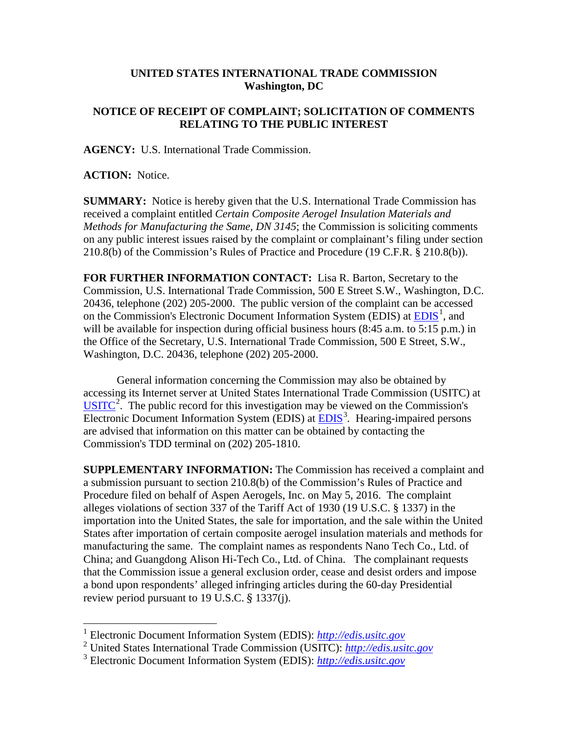## **UNITED STATES INTERNATIONAL TRADE COMMISSION Washington, DC**

## **NOTICE OF RECEIPT OF COMPLAINT; SOLICITATION OF COMMENTS RELATING TO THE PUBLIC INTEREST**

**AGENCY:** U.S. International Trade Commission.

**ACTION:** Notice.

**SUMMARY:** Notice is hereby given that the U.S. International Trade Commission has received a complaint entitled *Certain Composite Aerogel Insulation Materials and Methods for Manufacturing the Same, DN 3145*; the Commission is soliciting comments on any public interest issues raised by the complaint or complainant's filing under section 210.8(b) of the Commission's Rules of Practice and Procedure (19 C.F.R. § 210.8(b)).

**FOR FURTHER INFORMATION CONTACT:** Lisa R. Barton, Secretary to the Commission, U.S. International Trade Commission, 500 E Street S.W., Washington, D.C. 20436, telephone (202) 205-2000. The public version of the complaint can be accessed on the Commission's Electronic Document Information System (EDIS) at  $\underline{EDIS}^1$  $\underline{EDIS}^1$ , and will be available for inspection during official business hours (8:45 a.m. to 5:15 p.m.) in the Office of the Secretary, U.S. International Trade Commission, 500 E Street, S.W., Washington, D.C. 20436, telephone (202) 205-2000.

General information concerning the Commission may also be obtained by accessing its Internet server at United States International Trade Commission (USITC) at  $\overline{USTTC}^2$  $\overline{USTTC}^2$ . The public record for this investigation may be viewed on the Commission's Electronic Document Information System (EDIS) at **EDIS**<sup>[3](#page-0-2)</sup>. Hearing-impaired persons are advised that information on this matter can be obtained by contacting the Commission's TDD terminal on (202) 205-1810.

**SUPPLEMENTARY INFORMATION:** The Commission has received a complaint and a submission pursuant to section 210.8(b) of the Commission's Rules of Practice and Procedure filed on behalf of Aspen Aerogels, Inc. on May 5, 2016. The complaint alleges violations of section 337 of the Tariff Act of 1930 (19 U.S.C. § 1337) in the importation into the United States, the sale for importation, and the sale within the United States after importation of certain composite aerogel insulation materials and methods for manufacturing the same. The complaint names as respondents Nano Tech Co., Ltd. of China; and Guangdong Alison Hi-Tech Co., Ltd. of China. The complainant requests that the Commission issue a general exclusion order, cease and desist orders and impose a bond upon respondents' alleged infringing articles during the 60-day Presidential review period pursuant to 19 U.S.C. § 1337(j).

<span id="page-0-0"></span> <sup>1</sup> Electronic Document Information System (EDIS): *[http://edis.usitc.gov](http://edis.usitc.gov/)*

<span id="page-0-1"></span><sup>2</sup> United States International Trade Commission (USITC): *[http://edis.usitc.gov](http://edis.usitc.gov/)*

<span id="page-0-2"></span><sup>3</sup> Electronic Document Information System (EDIS): *[http://edis.usitc.gov](http://edis.usitc.gov/)*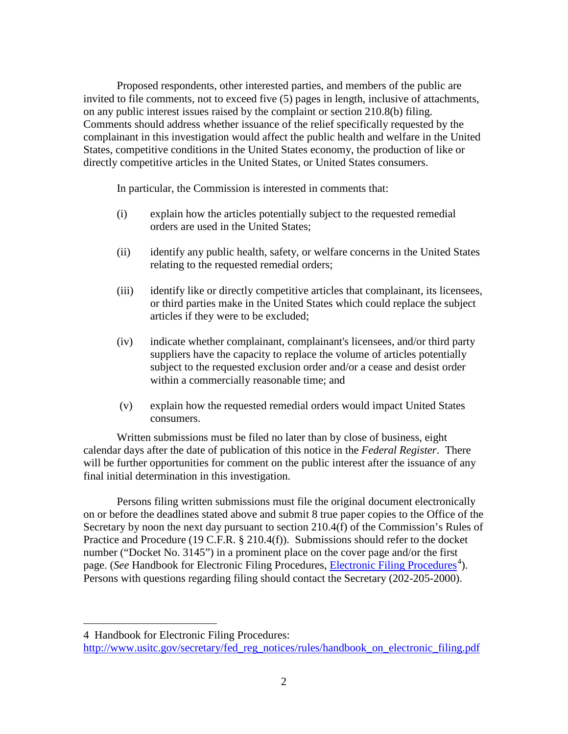Proposed respondents, other interested parties, and members of the public are invited to file comments, not to exceed five (5) pages in length, inclusive of attachments, on any public interest issues raised by the complaint or section 210.8(b) filing. Comments should address whether issuance of the relief specifically requested by the complainant in this investigation would affect the public health and welfare in the United States, competitive conditions in the United States economy, the production of like or directly competitive articles in the United States, or United States consumers.

In particular, the Commission is interested in comments that:

- (i) explain how the articles potentially subject to the requested remedial orders are used in the United States;
- (ii) identify any public health, safety, or welfare concerns in the United States relating to the requested remedial orders;
- (iii) identify like or directly competitive articles that complainant, its licensees, or third parties make in the United States which could replace the subject articles if they were to be excluded;
- (iv) indicate whether complainant, complainant's licensees, and/or third party suppliers have the capacity to replace the volume of articles potentially subject to the requested exclusion order and/or a cease and desist order within a commercially reasonable time; and
- (v) explain how the requested remedial orders would impact United States consumers.

Written submissions must be filed no later than by close of business, eight calendar days after the date of publication of this notice in the *Federal Register*. There will be further opportunities for comment on the public interest after the issuance of any final initial determination in this investigation.

Persons filing written submissions must file the original document electronically on or before the deadlines stated above and submit 8 true paper copies to the Office of the Secretary by noon the next day pursuant to section 210.4(f) of the Commission's Rules of Practice and Procedure (19 C.F.R. § 210.4(f)). Submissions should refer to the docket number ("Docket No. 3145") in a prominent place on the cover page and/or the first page. (*See* Handbook for [Electronic Filing Procedures](http://www.usitc.gov/secretary/fed_reg_notices/rules/handbook_on_electronic_filing.pdf), *Electronic Filing Procedures*<sup>[4](#page-1-0)</sup>). Persons with questions regarding filing should contact the Secretary (202-205-2000).

 $\overline{a}$ 

<span id="page-1-0"></span><sup>4</sup> Handbook for Electronic Filing Procedures:

http://www.usitc.gov/secretary/fed\_reg\_notices/rules/handbook\_on\_electronic\_filing.pdf